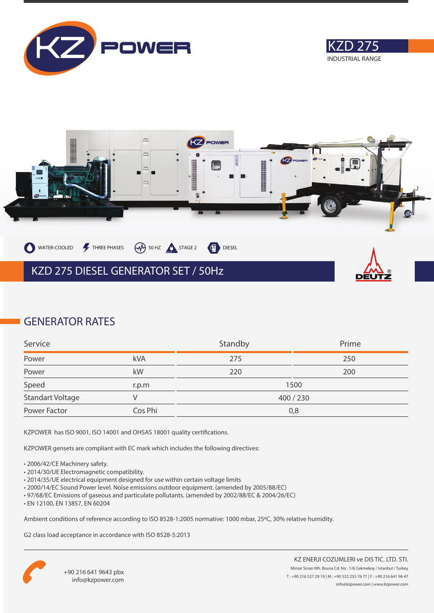





### **GENERATOR RATES**

| Service          |         | Standby | Prime   |
|------------------|---------|---------|---------|
| Power            | kVA     | 275     | 250     |
| Power            | kW      | 220     | 200     |
| Speed            | r.p.m   |         | 1500    |
| Standart Voltage |         |         | 400/230 |
| Power Factor     | Cos Phi |         | 0,8     |

KZPOWER has ISO 9001, ISO 14001 and OHSAS 18001 quality certifications.

KZPOWER gensets are compliant with EC mark which includes the following directives:

- 2006/42/CE Machinery safety.
- 2014/30/UE Electromagnetic compatibility.
- 2014/35/UE electrical equipment designed for use within certain voltage limits
- 2000/14/EC Sound Power level. Noise emissions outdoor equipment. (amended by 2005/88/EC)
- 97/68/EC Emissions of gaseous and particulate pollutants. (amended by 2002/88/EC & 2004/26/EC)
- EN 12100, EN 13857, EN 60204

Ambient conditions of reference according to ISO 8528-1:2005 normative: 1000 mbar, 25ºC, 30% relative humidity.

G2 class load acceptance in accordance with ISO 8528-5:2013

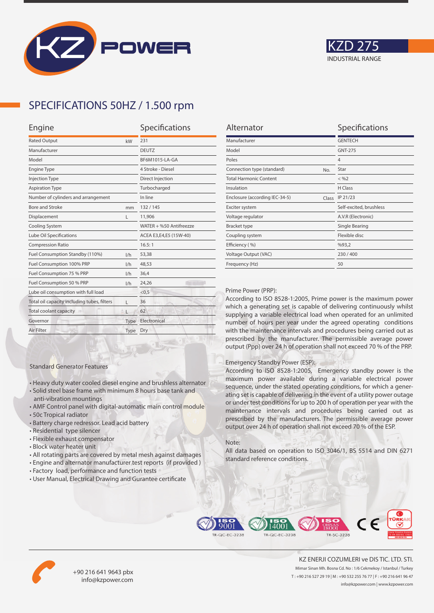



## **SPECIFICATIONS 50HZ / 1.500 rpm**

| Engine                                      |      | Specifications          |  |
|---------------------------------------------|------|-------------------------|--|
| <b>Rated Output</b>                         | kW   | 231                     |  |
| Manufacturer                                |      | <b>DEUTZ</b>            |  |
| Model                                       |      | BF6M1015-LA-GA          |  |
| <b>Engine Type</b>                          |      | 4 Stroke - Diesel       |  |
| <b>Injection Type</b>                       |      | Direct Injection        |  |
| <b>Aspiration Type</b>                      |      | Turbocharged            |  |
| Number of cylinders and arrangement         |      | In line                 |  |
| <b>Bore and Stroke</b>                      | mm   | 132/145                 |  |
| Displacement                                | L    | 11,906                  |  |
| Cooling System                              |      | WATER + %50 Antifreezze |  |
| Lube Oil Specifications                     |      | ACEA E3,E4,E5 (15W-40)  |  |
| <b>Compression Ratio</b>                    |      | 16.5:1                  |  |
| Fuel Consumption Standby (110%)             | 1/h  | 53,38                   |  |
| Fuel Consumption 100% PRP                   | 1/h  | 48,53                   |  |
| Fuel Consumption 75 % PRP                   | 1/h  | 36,4                    |  |
| Fuel Consumption 50 % PRP<br>1/h            |      | 24,26                   |  |
| Lube oil consumption with full load         |      | < 0.5                   |  |
| Total oil capacity including tubes, filters | г    | 36                      |  |
| Total coolant capacity                      |      | 62                      |  |
| Governor                                    | Type | Electronical            |  |
| Air Filter                                  | Type | Dry                     |  |
|                                             |      |                         |  |

| Alternator                              | Specifications          |
|-----------------------------------------|-------------------------|
| Manufacturer                            | <b>GENTECH</b>          |
| Model                                   | <b>GNT-275</b>          |
| Poles                                   | $\overline{4}$          |
| Connection type (standard)<br>No.       | Star                    |
| <b>Total Harmonic Content</b>           | $<$ %2                  |
| Insulation                              | H Class                 |
| Enclosure (according IEC-34-5)<br>Class | IP 21/23                |
| Exciter system                          | Self-excited, brushless |
| Voltage regulator                       | A.V.R (Electronic)      |
| <b>Bracket type</b>                     | Single Bearing          |
| Coupling system                         | Flexible disc           |
| Efficiency (%)                          | %93,2                   |
| Voltage Output (VAC)                    | 230/400                 |
| Frequency (Hz)                          | 50                      |

#### Prime Power (PRP):

According to ISO 8528-1:2005, Prime power is the maximum power which a generating set is capable of delivering continuously whilst supplying a variable electrical load when operated for an unlimited number of hours per year under the agreed operating conditions with the maintenance intervals and procedures being carried out as prescribed by the manufacturer. The permissible average power output (Ppp) over 24 h of operation shall not exceed 70 % of the PRP.

#### Emergency Standby Power (ESP):

According to ISO 8528-1:2005, Emergency standby power is the maximum power available during a variable electrical power sequence, under the stated operating conditions, for which a generating set is capable of delivering in the event of a utility power outage or under test conditions for up to 200 h of operation per year with the maintenance intervals and procedures being carried out as prescribed by the manufacturers. The permissible average power output over 24 h of operation shall not exceed 70 % of the ESP.

#### Note:

All data based on operation to ISO 3046/1, BS 5514 and DIN 6271 standard reference conditions.



• All rotating parts are covered by metal mesh against damages

• Heavy duty water cooled diesel engine and brushless alternator • Solid steel base frame with minimum 8 hours base tank and

• AMF Control panel with digital-automatic main control module

• User Manual, Electrical Drawing and Gurantee certificate

Standard Generator Features

anti-vibration mountings

• Residential type silencer • Flexible exhaust compensator • Block water heater unit

• Battery charge redressor. Lead acid battery

• 50c Tropical radiator





+90 216 641 9643 pbx info@kzpower.com

KZ ENERJI COZUMLERI ve DIS TIC. LTD. STI. Mimar Sinan Mh. Bosna Cd. No : 1/6 Cekmekoy / Istanbul / Turkey T : +90 216 527 29 19 | M : +90 532 255 76 77 | F : +90 216 641 96 47 info@kzpower.com | www.kzpower.com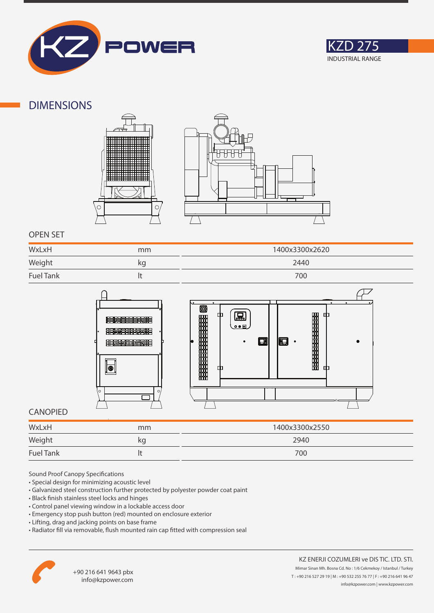



### **DIMENSIONS**





### **OPEN SET**

| WxLxH            | mm | 1400x3300x2620 |
|------------------|----|----------------|
| Weight<br>$\sim$ | kq | 2440           |
| <b>Fuel Tank</b> |    | 700            |



### **CANOPIED**

| WxLxH            | mm | 1400x3300x2550 |
|------------------|----|----------------|
| Weight           | kg | 2940           |
| <b>Fuel Tank</b> |    | 700            |

Sound Proof Canopy Specifications

- Special design for minimizing acoustic level
- Galvanized steel construction further protected by polyester powder coat paint
- Black finish stainless steel locks and hinges
- Control panel viewing window in a lockable access door
- Emergency stop push button (red) mounted on enclosure exterior
- Lifting, drag and jacking points on base frame
- Radiator fill via removable, flush mounted rain cap fitted with compression seal